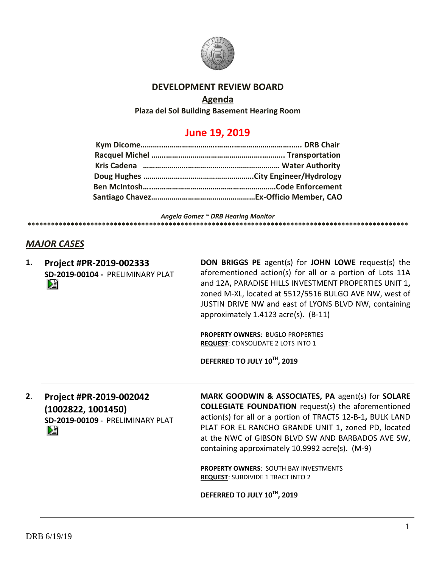

## **DEVELOPMENT REVIEW BOARD**

### **Agenda**

**Plaza del Sol Building Basement Hearing Room**

# **June 19, 2019**

*Angela Gomez ~ DRB Hearing Monitor*

### *MAJOR CASES*

**1. Project #PR-2019-002333 SD-2019-00104 -** PRELIMINARY PLAT DJ

**DON BRIGGS PE** agent(s) for **JOHN LOWE** request(s) the aforementioned action(s) for all or a portion of Lots 11A and 12A**,** PARADISE HILLS INVESTMENT PROPERTIES UNIT 1**,** zoned M-XL, located at 5512/5516 BULGO AVE NW, west of JUSTIN DRIVE NW and east of LYONS BLVD NW, containing approximately 1.4123 acre(s). (B-11)

**PROPERTY OWNERS**: BUGLO PROPERTIES **REQUEST**: CONSOLIDATE 2 LOTS INTO 1

**\*\*\*\*\*\*\*\*\*\*\*\*\*\*\*\*\*\*\*\*\*\*\*\*\*\*\*\*\*\*\*\*\*\*\*\*\*\*\*\*\*\*\*\*\*\*\*\*\*\*\*\*\*\*\*\*\*\*\*\*\*\*\*\*\*\*\*\*\*\*\*\*\*\*\*\*\*\*\*\*\*\*\*\*\*\*\*\*\*\*\*\*\*\*\*\*\***

**DEFERRED TO JULY 10TH, 2019**

**2**. **Project #PR-2019-002042 (1002822, 1001450) SD-2019-00109 -** PRELIMINARY PLAT **MARK GOODWIN & ASSOCIATES, PA** agent(s) for **SOLARE COLLEGIATE FOUNDATION** request(s) the aforementioned action(s) for all or a portion of TRACTS 12-B-1**,** BULK LAND PLAT FOR EL RANCHO GRANDE UNIT 1**,** zoned PD, located at the NWC of GIBSON BLVD SW AND BARBADOS AVE SW, containing approximately 10.9992 acre(s). (M-9)

**PROPERTY OWNERS**: SOUTH BAY INVESTMENTS **REQUEST**: SUBDIVIDE 1 TRACT INTO 2

**DEFERRED TO JULY 10TH, 2019**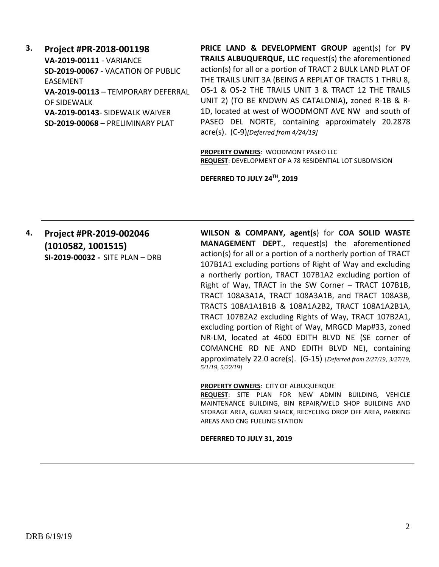**3. Project #PR-2018-001198 VA-2019-00111** - VARIANCE **SD-2019-00067** - VACATION OF PUBLIC EASEMENT **VA-2019-00113** – TEMPORARY DEFERRAL OF SIDEWALK **VA-2019-00143**- SIDEWALK WAIVER **SD-2019-00068** – PRELIMINARY PLAT

**PRICE LAND & DEVELOPMENT GROUP** agent(s) for **PV TRAILS ALBUQUERQUE, LLC** request(s) the aforementioned action(s) for all or a portion of TRACT 2 BULK LAND PLAT OF THE TRAILS UNIT 3A (BEING A REPLAT OF TRACTS 1 THRU 8, OS-1 & OS-2 THE TRAILS UNIT 3 & TRACT 12 THE TRAILS UNIT 2) (TO BE KNOWN AS CATALONIA)**,** zoned R-1B & R-1D, located at west of WOODMONT AVE NW and south of PASEO DEL NORTE, containing approximately 20.2878 acre(s). (C-9)*[Deferred from 4/24/19]*

**PROPERTY OWNERS**: WOODMONT PASEO LLC **REQUEST**: DEVELOPMENT OF A 78 RESIDENTIAL LOT SUBDIVISION

**DEFERRED TO JULY 24TH, 2019**

# **4. Project #PR-2019-002046 (1010582, 1001515) SI-2019-00032 -** SITE PLAN – DRB

**WILSON & COMPANY, agent(s**) for **COA SOLID WASTE MANAGEMENT DEPT**., request(s) the aforementioned action(s) for all or a portion of a northerly portion of TRACT 107B1A1 excluding portions of Right of Way and excluding a northerly portion, TRACT 107B1A2 excluding portion of Right of Way, TRACT in the SW Corner – TRACT 107B1B, TRACT 108A3A1A, TRACT 108A3A1B, and TRACT 108A3B, TRACTS 108A1A1B1B & 108A1A2B2**,** TRACT 108A1A2B1A, TRACT 107B2A2 excluding Rights of Way, TRACT 107B2A1, excluding portion of Right of Way, MRGCD Map#33, zoned NR-LM, located at 4600 EDITH BLVD NE (SE corner of COMANCHE RD NE AND EDITH BLVD NE), containing approximately 22.0 acre(s). (G-15) *[Deferred from 2/27/19, 3/27/19, 5/1/19, 5/22/19]*

#### **PROPERTY OWNERS**: CITY OF ALBUQUERQUE

**REQUEST**: SITE PLAN FOR NEW ADMIN BUILDING, VEHICLE MAINTENANCE BUILDING, BIN REPAIR/WELD SHOP BUILDING AND STORAGE AREA, GUARD SHACK, RECYCLING DROP OFF AREA, PARKING AREAS AND CNG FUELING STATION

#### **DEFERRED TO JULY 31, 2019**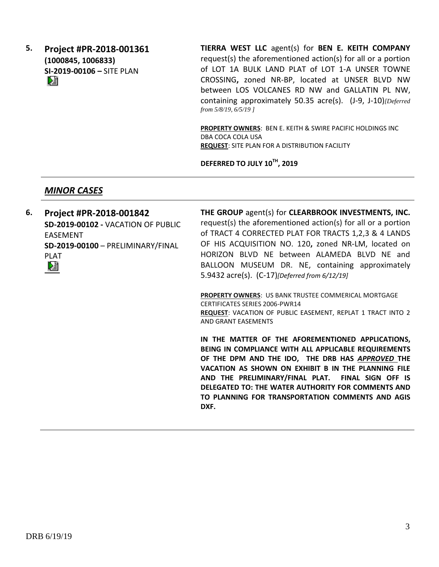**5. Project #PR-2018-001361 (1000845, 1006833) SI-2019-00106 –** SITE PLAN

**TIERRA WEST LLC** agent(s) for **BEN E. KEITH COMPANY** request(s) the aforementioned action(s) for all or a portion of LOT 1A BULK LAND PLAT of LOT 1-A UNSER TOWNE CROSSING**,** zoned NR-BP, located at UNSER BLVD NW between LOS VOLCANES RD NW and GALLATIN PL NW, containing approximately 50.35 acre(s). (J-9, J-10)*[Deferred from 5/8/19, 6/5/19 ]*

**PROPERTY OWNERS**: BEN E. KEITH & SWIRE PACIFIC HOLDINGS INC DBA COCA COLA USA **REQUEST**: SITE PLAN FOR A DISTRIBUTION FACILITY

**TO PLANNING FOR TRANSPORTATION COMMENTS AND AGIS** 

**DEFERRED TO JULY 10TH, 2019**

## *MINOR CASES*

**6. Project #PR-2018-001842 THE GROUP** agent(s) for **CLEARBROOK INVESTMENTS, INC.** request(s) the aforementioned action(s) for all or a portion **SD-2019-00102 -** VACATION OF PUBLIC of TRACT 4 CORRECTED PLAT FOR TRACTS 1,2,3 & 4 LANDS EASEMENT OF HIS ACQUISITION NO. 120**,** zoned NR-LM, located on **SD-2019-00100** – PRELIMINARY/FINAL HORIZON BLVD NE between ALAMEDA BLVD NE and PLAT BALLOON MUSEUM DR. NE, containing approximately DË 5.9432 acre(s). (C-17)*[Deferred from 6/12/19]* **PROPERTY OWNERS**: US BANK TRUSTEE COMMERICAL MORTGAGE CERTIFICATES SERIES 2006-PWR14 **REQUEST**: VACATION OF PUBLIC EASEMENT, REPLAT 1 TRACT INTO 2 AND GRANT EASEMENTS **IN THE MATTER OF THE AFOREMENTIONED APPLICATIONS, BEING IN COMPLIANCE WITH ALL APPLICABLE REQUIREMENTS OF THE DPM AND THE IDO, THE DRB HAS** *APPROVED* **THE VACATION AS SHOWN ON EXHIBIT B IN THE PLANNING FILE AND THE PRELIMINARY/FINAL PLAT. FINAL SIGN OFF IS DELEGATED TO: THE WATER AUTHORITY FOR COMMENTS AND** 

**DXF.**